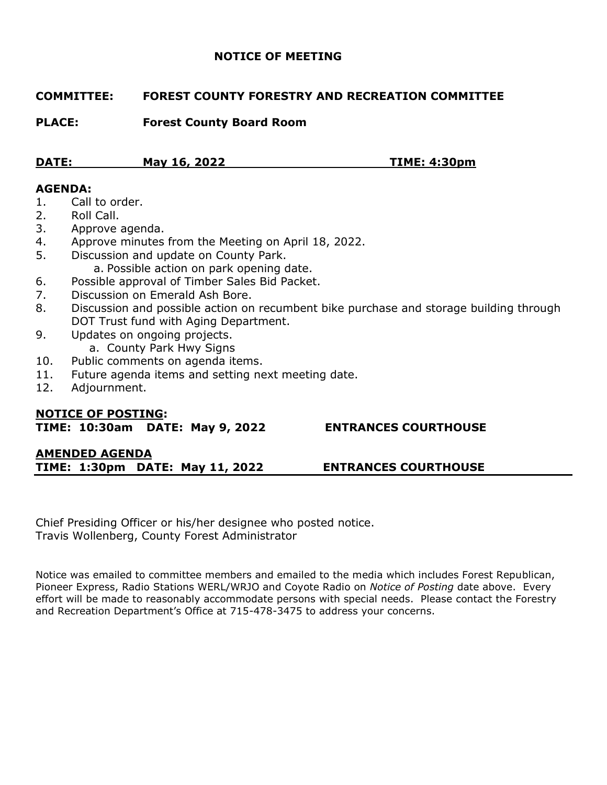# **NOTICE OF MEETING**

# **COMMITTEE: FOREST COUNTY FORESTRY AND RECREATION COMMITTEE**

**PLACE: Forest County Board Room**

| <b>DATE:</b> | May 16, 2022 | <b>TIME: 4:30pm</b> |
|--------------|--------------|---------------------|
|              |              |                     |

# **AGENDA:**

- 1. Call to order.
- 2. Roll Call.
- 3. Approve agenda.
- 4. Approve minutes from the Meeting on April 18, 2022.
- 5. Discussion and update on County Park.
	- a. Possible action on park opening date.
- 6. Possible approval of Timber Sales Bid Packet.
- 7. Discussion on Emerald Ash Bore.
- 8. Discussion and possible action on recumbent bike purchase and storage building through DOT Trust fund with Aging Department.
- 9. Updates on ongoing projects. a. County Park Hwy Signs
- 10. Public comments on agenda items.
- 11. Future agenda items and setting next meeting date.
- 12. Adjournment.

# **NOTICE OF POSTING:**

**TIME: 10:30am DATE: May 9, 2022 ENTRANCES COURTHOUSE**

# **AMENDED AGENDA TIME: 1:30pm DATE: May 11, 2022 ENTRANCES COURTHOUSE**

Chief Presiding Officer or his/her designee who posted notice. Travis Wollenberg, County Forest Administrator

Notice was emailed to committee members and emailed to the media which includes Forest Republican, Pioneer Express, Radio Stations WERL/WRJO and Coyote Radio on *Notice of Posting* date above. Every effort will be made to reasonably accommodate persons with special needs. Please contact the Forestry and Recreation Department's Office at 715-478-3475 to address your concerns.